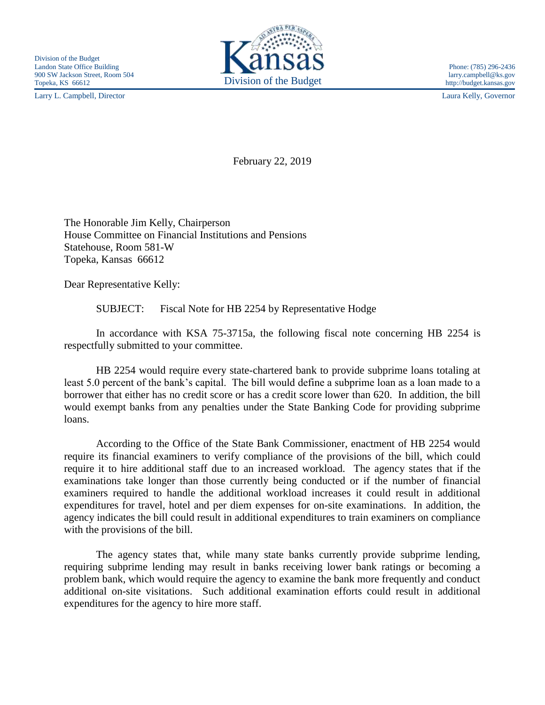Larry L. Campbell, Director Laura Kelly, Governor



http://budget.kansas.gov

February 22, 2019

The Honorable Jim Kelly, Chairperson House Committee on Financial Institutions and Pensions Statehouse, Room 581-W Topeka, Kansas 66612

Dear Representative Kelly:

SUBJECT: Fiscal Note for HB 2254 by Representative Hodge

In accordance with KSA 75-3715a, the following fiscal note concerning HB 2254 is respectfully submitted to your committee.

HB 2254 would require every state-chartered bank to provide subprime loans totaling at least 5.0 percent of the bank's capital. The bill would define a subprime loan as a loan made to a borrower that either has no credit score or has a credit score lower than 620. In addition, the bill would exempt banks from any penalties under the State Banking Code for providing subprime loans.

According to the Office of the State Bank Commissioner, enactment of HB 2254 would require its financial examiners to verify compliance of the provisions of the bill, which could require it to hire additional staff due to an increased workload. The agency states that if the examinations take longer than those currently being conducted or if the number of financial examiners required to handle the additional workload increases it could result in additional expenditures for travel, hotel and per diem expenses for on-site examinations. In addition, the agency indicates the bill could result in additional expenditures to train examiners on compliance with the provisions of the bill.

The agency states that, while many state banks currently provide subprime lending, requiring subprime lending may result in banks receiving lower bank ratings or becoming a problem bank, which would require the agency to examine the bank more frequently and conduct additional on-site visitations. Such additional examination efforts could result in additional expenditures for the agency to hire more staff.